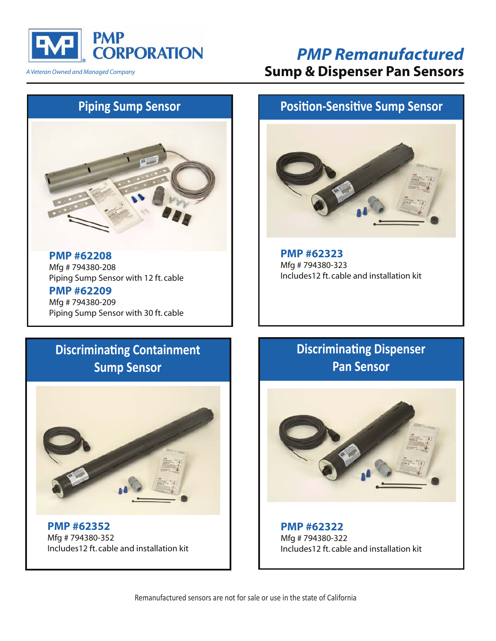

*A Veteran Owned and Managed Company*

## *PMP Remanufactured* **Sump & Dispenser Pan Sensors**

# **Piping Sump Sensor**



**PMP #62208** Mfg # 794380-208 Piping Sump Sensor with 12 ft. cable

**PMP #62209** Mfg # 794380-209 Piping Sump Sensor with 30 ft. cable

#### **Position-Sensitive Sump Sensor**



**PMP #62323** Mfg # 794380-323 Includes12 ft. cable and installation kit

# **Discriminating Containment Sump Sensor**



**PMP #62352** Mfg # 794380-352 Includes12 ft. cable and installation kit

### **Discriminating Dispenser Pan Sensor**



**PMP #62322** Mfg # 794380-322 Includes12 ft. cable and installation kit